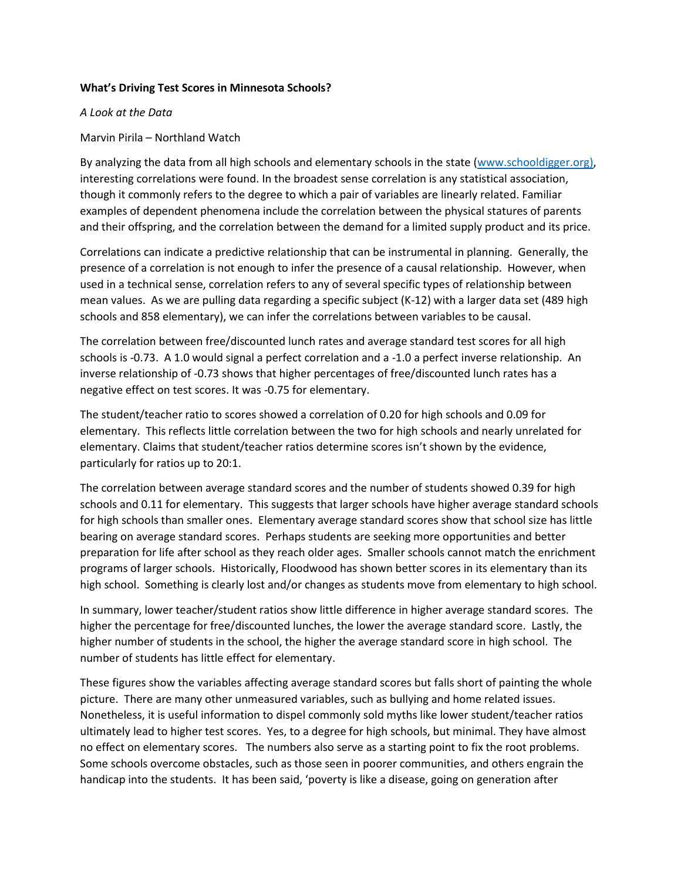## **What's Driving Test Scores in Minnesota Schools?**

## *A Look at the Data*

Marvin Pirila – Northland Watch

By analyzing the data from all high schools and elementary schools in the state [\(www.schooldigger.org\)](http://www.schooldigger.org/), interesting correlations were found. In the broadest sense correlation is any statistical association, though it commonly refers to the degree to which a pair of variables are linearly related. Familiar examples of dependent phenomena include the correlation between the physical statures of parents and their offspring, and the correlation between the demand for a limited supply product and its price.

Correlations can indicate a predictive relationship that can be instrumental in planning. Generally, the presence of a correlation is not enough to infer the presence of a causal relationship. However, when used in a technical sense, correlation refers to any of several specific types of relationship between mean values. As we are pulling data regarding a specific subject (K-12) with a larger data set (489 high schools and 858 elementary), we can infer the correlations between variables to be causal.

The correlation between free/discounted lunch rates and average standard test scores for all high schools is -0.73. A 1.0 would signal a perfect correlation and a -1.0 a perfect inverse relationship. An inverse relationship of -0.73 shows that higher percentages of free/discounted lunch rates has a negative effect on test scores. It was -0.75 for elementary.

The student/teacher ratio to scores showed a correlation of 0.20 for high schools and 0.09 for elementary. This reflects little correlation between the two for high schools and nearly unrelated for elementary. Claims that student/teacher ratios determine scores isn't shown by the evidence, particularly for ratios up to 20:1.

The correlation between average standard scores and the number of students showed 0.39 for high schools and 0.11 for elementary. This suggests that larger schools have higher average standard schools for high schools than smaller ones. Elementary average standard scores show that school size has little bearing on average standard scores. Perhaps students are seeking more opportunities and better preparation for life after school as they reach older ages. Smaller schools cannot match the enrichment programs of larger schools. Historically, Floodwood has shown better scores in its elementary than its high school. Something is clearly lost and/or changes as students move from elementary to high school.

In summary, lower teacher/student ratios show little difference in higher average standard scores. The higher the percentage for free/discounted lunches, the lower the average standard score. Lastly, the higher number of students in the school, the higher the average standard score in high school. The number of students has little effect for elementary.

These figures show the variables affecting average standard scores but falls short of painting the whole picture. There are many other unmeasured variables, such as bullying and home related issues. Nonetheless, it is useful information to dispel commonly sold myths like lower student/teacher ratios ultimately lead to higher test scores. Yes, to a degree for high schools, but minimal. They have almost no effect on elementary scores. The numbers also serve as a starting point to fix the root problems. Some schools overcome obstacles, such as those seen in poorer communities, and others engrain the handicap into the students. It has been said, 'poverty is like a disease, going on generation after